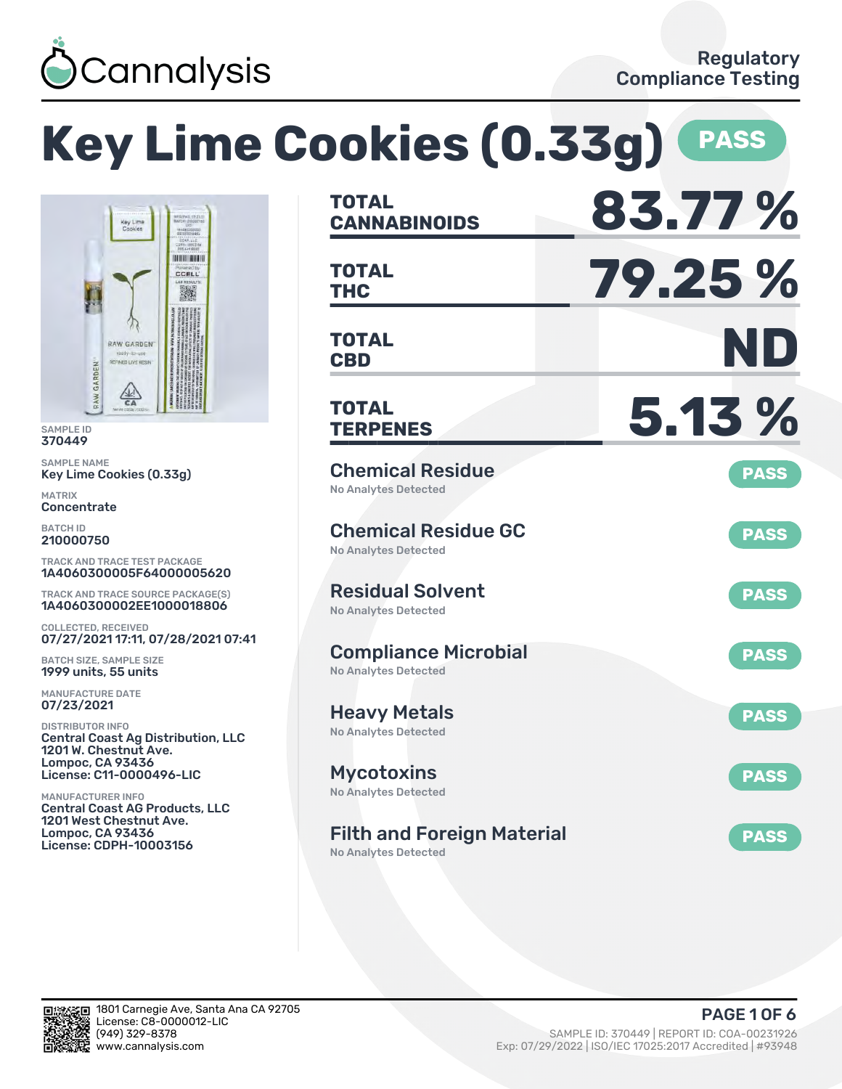

# **Key Lime Cookies (0.33g) PASS**



SAMPLE ID 370449

SAMPLE NAME Key Lime Cookies (0.33g)

MATRIX **Concentrate** 

BATCH ID 210000750

TRACK AND TRACE TEST PACKAGE 1A4060300005F64000005620

TRACK AND TRACE SOURCE PACKAGE(S) 1A4060300002EE1000018806

COLLECTED, RECEIVED 07/27/2021 17:11, 07/28/2021 07:41

BATCH SIZE, SAMPLE SIZE 1999 units, 55 units

MANUFACTURE DATE 07/23/2021

DISTRIBUTOR INFO Central Coast Ag Distribution, LLC 1201 W. Chestnut Ave. Lompoc, CA 93436 License: C11-0000496-LIC

MANUFACTURER INFO Central Coast AG Products, LLC 1201 West Chestnut Ave. Lompoc, CA 93436 License: CDPH-10003156

| <b>TOTAL</b><br><b>CANNABINOIDS</b>                              | 83.77%      |
|------------------------------------------------------------------|-------------|
| <b>TOTAL</b><br><b>THC</b>                                       | 79.25 %     |
| TOTAL<br><b>CBD</b>                                              | ND          |
| <b>TOTAL</b><br><b>TERPENES</b>                                  | 5.13 %      |
| <b>Chemical Residue</b><br><b>No Analytes Detected</b>           | <b>PASS</b> |
| <b>Chemical Residue GC</b><br><b>No Analytes Detected</b>        | <b>PASS</b> |
| <b>Residual Solvent</b><br><b>No Analytes Detected</b>           | <b>PASS</b> |
| <b>Compliance Microbial</b><br><b>No Analytes Detected</b>       | <b>PASS</b> |
| <b>Heavy Metals</b><br><b>No Analytes Detected</b>               | <b>PASS</b> |
| <b>Mycotoxins</b><br>No Analytes Detected                        | <b>PASS</b> |
| <b>Filth and Foreign Material</b><br><b>No Analytes Detected</b> | <b>PASS</b> |

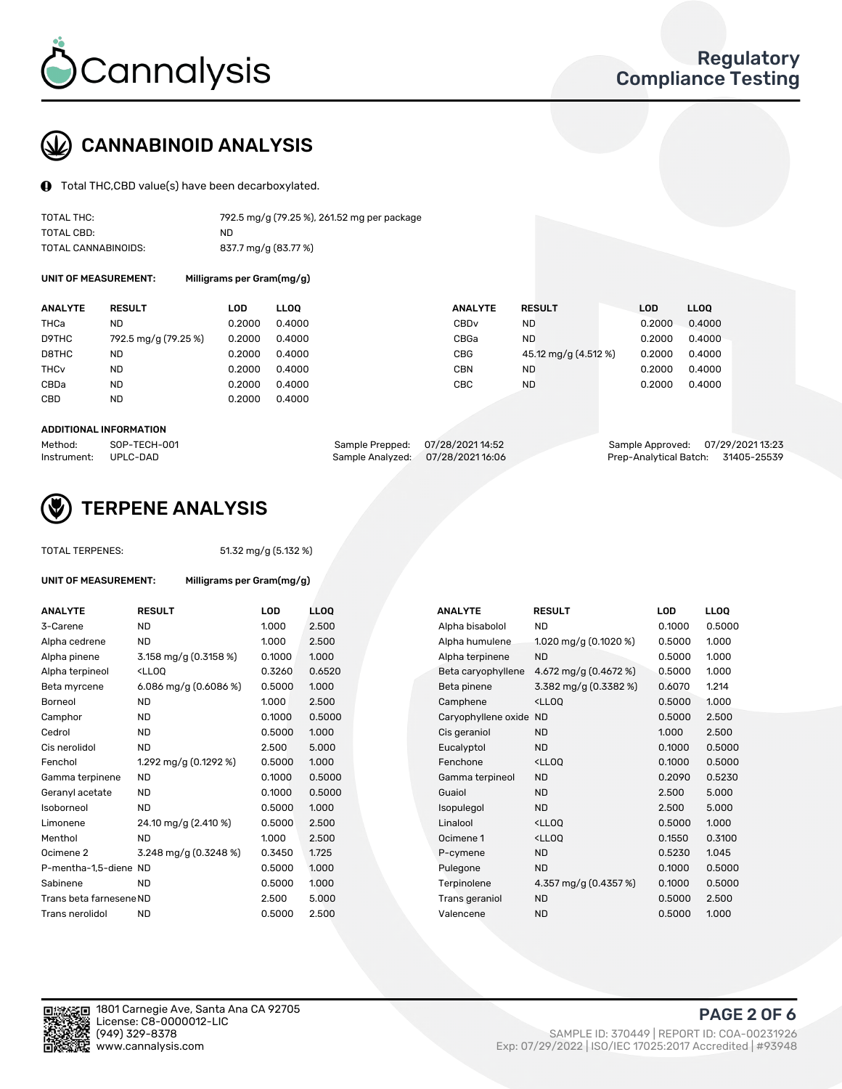

## CANNABINOID ANALYSIS

Total THC,CBD value(s) have been decarboxylated.

| TOTAL THC:          | 792.5 mg/g (79.25 %), 261.52 mg per package |
|---------------------|---------------------------------------------|
| TOTAL CBD:          | ND.                                         |
| TOTAL CANNABINOIDS: | 837.7 mg/g (83.77 %)                        |

UNIT OF MEASUREMENT: Milligrams per Gram(mg/g)

| <b>ANALYTE</b>         | <b>RESULT</b>        | LOD    | <b>LLOO</b> | <b>ANALYTE</b>   | <b>RESULT</b>        | LOD    | <b>LLOO</b> |
|------------------------|----------------------|--------|-------------|------------------|----------------------|--------|-------------|
| THCa                   | ND                   | 0.2000 | 0.4000      | CBD <sub>v</sub> | <b>ND</b>            | 0.2000 | 0.4000      |
| D9THC                  | 792.5 mg/g (79.25 %) | 0.2000 | 0.4000      | CBGa             | <b>ND</b>            | 0.2000 | 0.4000      |
| D8THC                  | ND                   | 0.2000 | 0.4000      | CBG              | 45.12 mg/g (4.512 %) | 0.2000 | 0.4000      |
| <b>THC<sub>v</sub></b> | ND                   | 0.2000 | 0.4000      | <b>CBN</b>       | <b>ND</b>            | 0.2000 | 0.4000      |
| CBDa                   | <b>ND</b>            | 0.2000 | 0.4000      | CBC              | <b>ND</b>            | 0.2000 | 0.4000      |
| CBD                    | ND                   | 0.2000 | 0.4000      |                  |                      |        |             |
|                        |                      |        |             |                  |                      |        |             |

#### ADDITIONAL INFORMATION

| Method:              | SOP-TECH-001 | Sample Prepped: 07/28/202114:52   | Sample Approved: 07/29/2021 13:23  |  |
|----------------------|--------------|-----------------------------------|------------------------------------|--|
| Instrument: UPLC-DAD |              | Sample Analyzed: 07/28/2021 16:06 | Prep-Analytical Batch: 31405-25539 |  |



## TERPENE ANALYSIS

| <b>TOTAL TERPENES:</b>  |                                                                                                                                                                |                           | 51.32 mg/g (5.132 %) |                  |                     |                                                    |            |       |
|-------------------------|----------------------------------------------------------------------------------------------------------------------------------------------------------------|---------------------------|----------------------|------------------|---------------------|----------------------------------------------------|------------|-------|
| UNIT OF MEASUREMENT:    |                                                                                                                                                                | Milligrams per Gram(mg/g) |                      |                  |                     |                                                    |            |       |
| <b>ANALYTE</b>          | <b>RESULT</b>                                                                                                                                                  |                           | <b>LOD</b>           | LL <sub>OO</sub> | <b>ANALYTE</b>      | <b>RESULT</b>                                      | <b>LOD</b> | LLOQ  |
| 3-Carene                | <b>ND</b>                                                                                                                                                      |                           | 1.000                | 2.500            | Alpha bisabolol     | <b>ND</b>                                          | 0.1000     | 0.50( |
| Alpha cedrene           | <b>ND</b>                                                                                                                                                      |                           | 1.000                | 2.500            | Alpha humulene      | 1.020 mg/g $(0.1020 \%)$                           | 0.5000     | 1.000 |
| Alpha pinene            |                                                                                                                                                                | 3.158 mg/g (0.3158 %)     | 0.1000               | 1.000            | Alpha terpinene     | <b>ND</b>                                          | 0.5000     | 1.000 |
| Alpha terpineol         | <ll0q< td=""><td></td><td>0.3260</td><td>0.6520</td><td>Beta caryophyllene</td><td>4.672 mg/g <math>(0.4672%)</math></td><td>0.5000</td><td>1.000</td></ll0q<> |                           | 0.3260               | 0.6520           | Beta caryophyllene  | 4.672 mg/g $(0.4672%)$                             | 0.5000     | 1.000 |
| Beta myrcene            |                                                                                                                                                                | 6.086 mg/g (0.6086 %)     | 0.5000               | 1.000            | Beta pinene         | 3.382 mg/g (0.3382 %)                              | 0.6070     | 1.214 |
| Borneol                 | <b>ND</b>                                                                                                                                                      |                           | 1.000                | 2.500            | Camphene            | $<$ LLOO                                           | 0.5000     | 1.000 |
| Camphor                 | <b>ND</b>                                                                                                                                                      |                           | 0.1000               | 0.5000           | Caryophyllene oxide | <b>ND</b>                                          | 0.5000     | 2.500 |
| Cedrol                  | <b>ND</b>                                                                                                                                                      |                           | 0.5000               | 1.000            | Cis geraniol        | <b>ND</b>                                          | 1.000      | 2.500 |
| Cis nerolidol           | <b>ND</b>                                                                                                                                                      |                           | 2.500                | 5.000            | Eucalyptol          | <b>ND</b>                                          | 0.1000     | 0.50( |
| Fenchol                 |                                                                                                                                                                | 1.292 mg/g (0.1292 %)     | 0.5000               | 1.000            | Fenchone            | <lloq< td=""><td>0.1000</td><td>0.50(</td></lloq<> | 0.1000     | 0.50( |
| Gamma terpinene         | <b>ND</b>                                                                                                                                                      |                           | 0.1000               | 0.5000           | Gamma terpineol     | <b>ND</b>                                          | 0.2090     | 0.523 |
| Geranyl acetate         | <b>ND</b>                                                                                                                                                      |                           | 0.1000               | 0.5000           | Guaiol              | <b>ND</b>                                          | 2.500      | 5.000 |
| Isoborneol              | <b>ND</b>                                                                                                                                                      |                           | 0.5000               | 1.000            | Isopulegol          | <b>ND</b>                                          | 2.500      | 5.000 |
| Limonene                |                                                                                                                                                                | 24.10 mg/g (2.410 %)      | 0.5000               | 2.500            | Linalool            | <lloq< td=""><td>0.5000</td><td>1.00C</td></lloq<> | 0.5000     | 1.00C |
| Menthol                 | <b>ND</b>                                                                                                                                                      |                           | 1.000                | 2.500            | Ocimene 1           | <lloq< td=""><td>0.1550</td><td>0.310</td></lloq<> | 0.1550     | 0.310 |
| Ocimene 2               |                                                                                                                                                                | 3.248 mg/g (0.3248 %)     | 0.3450               | 1.725            | P-cymene            | <b>ND</b>                                          | 0.5230     | 1.045 |
| P-mentha-1,5-diene ND   |                                                                                                                                                                |                           | 0.5000               | 1.000            | Pulegone            | <b>ND</b>                                          | 0.1000     | 0.50( |
| Sabinene                | <b>ND</b>                                                                                                                                                      |                           | 0.5000               | 1.000            | Terpinolene         | 4.357 mg/g (0.4357 %)                              | 0.1000     | 0.50( |
| Trans beta farnesene ND |                                                                                                                                                                |                           | 2.500                | 5.000            | Trans geraniol      | <b>ND</b>                                          | 0.5000     | 2.500 |
| Trans nerolidol         | <b>ND</b>                                                                                                                                                      |                           | 0.5000               | 2.500            | Valencene           | <b>ND</b>                                          | 0.5000     | 1.00C |

| ANALYTE                 | RESULT                                                                                                                                    | LOD    | LLOQ   | ANALYTE                | <b>RESULT</b>                                       | LOD    | <b>LLOQ</b> |
|-------------------------|-------------------------------------------------------------------------------------------------------------------------------------------|--------|--------|------------------------|-----------------------------------------------------|--------|-------------|
| 3-Carene                | <b>ND</b>                                                                                                                                 | 1.000  | 2.500  | Alpha bisabolol        | <b>ND</b>                                           | 0.1000 | 0.5000      |
| Alpha cedrene           | <b>ND</b>                                                                                                                                 | 1.000  | 2.500  | Alpha humulene         | 1.020 mg/g $(0.1020 \%)$                            | 0.5000 | 1.000       |
| Alpha pinene            | 3.158 mg/g $(0.3158\%)$                                                                                                                   | 0.1000 | 1.000  | Alpha terpinene        | <b>ND</b>                                           | 0.5000 | 1.000       |
| Alpha terpineol         | <lloq< td=""><td>0.3260</td><td>0.6520</td><td>Beta caryophyllene</td><td>4.672 mg/g (0.4672 %)</td><td>0.5000</td><td>1.000</td></lloq<> | 0.3260 | 0.6520 | Beta caryophyllene     | 4.672 mg/g (0.4672 %)                               | 0.5000 | 1.000       |
| Beta myrcene            | 6.086 mg/g (0.6086 %)                                                                                                                     | 0.5000 | 1.000  | Beta pinene            | 3.382 mg/g (0.3382 %)                               | 0.6070 | 1.214       |
| Borneol                 | <b>ND</b>                                                                                                                                 | 1.000  | 2.500  | Camphene               | <lloq< td=""><td>0.5000</td><td>1.000</td></lloq<>  | 0.5000 | 1.000       |
| Camphor                 | <b>ND</b>                                                                                                                                 | 0.1000 | 0.5000 | Caryophyllene oxide ND |                                                     | 0.5000 | 2.500       |
| Cedrol                  | <b>ND</b>                                                                                                                                 | 0.5000 | 1.000  | Cis geraniol           | <b>ND</b>                                           | 1.000  | 2.500       |
| Cis nerolidol           | <b>ND</b>                                                                                                                                 | 2.500  | 5.000  | Eucalyptol             | <b>ND</b>                                           | 0.1000 | 0.5000      |
| Fenchol                 | 1.292 mg/g (0.1292 %)                                                                                                                     | 0.5000 | 1.000  | Fenchone               | <ll0q< td=""><td>0.1000</td><td>0.5000</td></ll0q<> | 0.1000 | 0.5000      |
| Gamma terpinene         | <b>ND</b>                                                                                                                                 | 0.1000 | 0.5000 | Gamma terpineol        | <b>ND</b>                                           | 0.2090 | 0.5230      |
| Geranyl acetate         | <b>ND</b>                                                                                                                                 | 0.1000 | 0.5000 | Guaiol                 | <b>ND</b>                                           | 2.500  | 5.000       |
| Isoborneol              | <b>ND</b>                                                                                                                                 | 0.5000 | 1.000  | Isopulegol             | <b>ND</b>                                           | 2.500  | 5.000       |
| Limonene                | 24.10 mg/g (2.410 %)                                                                                                                      | 0.5000 | 2.500  | Linalool               | <ll0q< td=""><td>0.5000</td><td>1.000</td></ll0q<>  | 0.5000 | 1.000       |
| Menthol                 | <b>ND</b>                                                                                                                                 | 1.000  | 2.500  | Ocimene 1              | <lloq< td=""><td>0.1550</td><td>0.3100</td></lloq<> | 0.1550 | 0.3100      |
| Ocimene 2               | 3.248 mg/g (0.3248 %)                                                                                                                     | 0.3450 | 1.725  | P-cymene               | <b>ND</b>                                           | 0.5230 | 1.045       |
| P-mentha-1,5-diene ND   |                                                                                                                                           | 0.5000 | 1.000  | Pulegone               | <b>ND</b>                                           | 0.1000 | 0.5000      |
| Sabinene                | <b>ND</b>                                                                                                                                 | 0.5000 | 1.000  | Terpinolene            | 4.357 mg/g (0.4357 %)                               | 0.1000 | 0.5000      |
| Trans beta farnesene ND |                                                                                                                                           | 2.500  | 5.000  | Trans geraniol         | <b>ND</b>                                           | 0.5000 | 2.500       |
| Trans nerolidol         | <b>ND</b>                                                                                                                                 | 0.5000 | 2.500  | Valencene              | <b>ND</b>                                           | 0.5000 | 1.000       |
|                         |                                                                                                                                           |        |        |                        |                                                     |        |             |

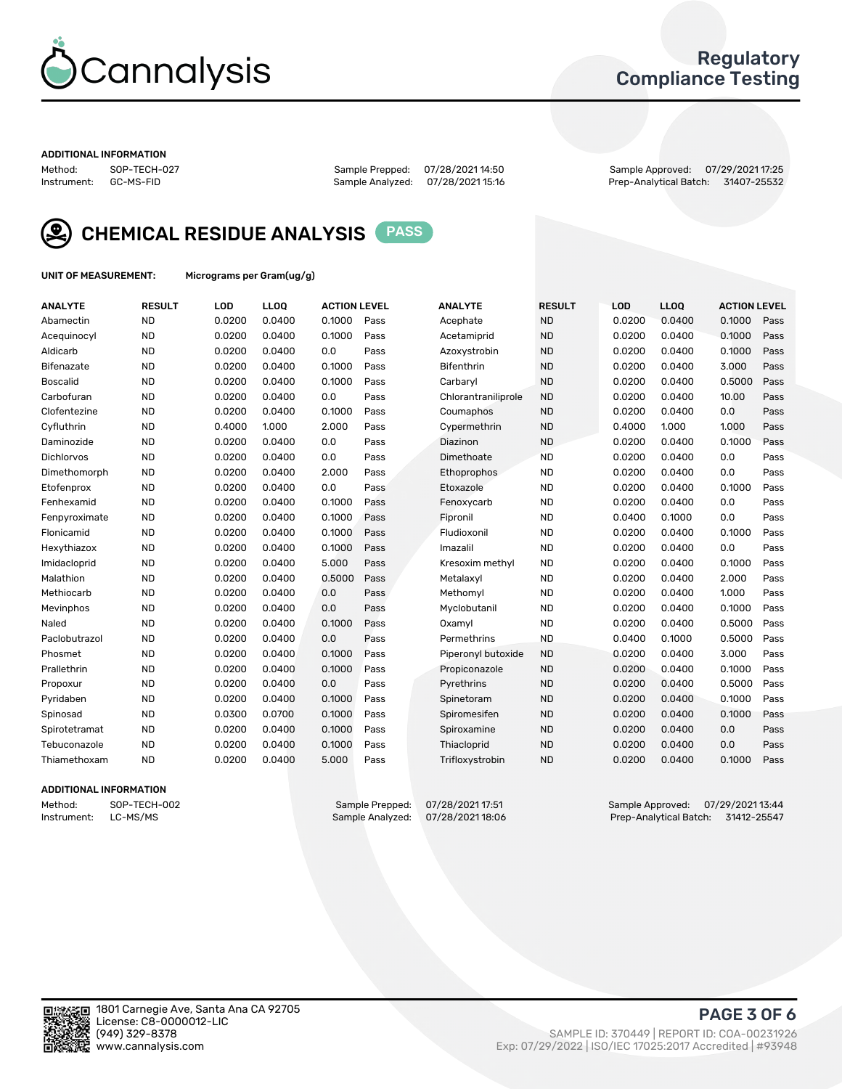

## Regulatory Compliance Testing

#### ADDITIONAL INFORMATION

Method: SOP-TECH-027 Sample Prepped: 07/28/2021 14:50 Sample Approved: 07/29/2021 17:25 Prep-Analytical Batch: 31407-25532



CHEMICAL RESIDUE ANALYSIS PASS

UNIT OF MEASUREMENT: Micrograms per Gram(ug/g)

| <b>ANALYTE</b>    | <b>RESULT</b> | LOD    | LL <sub>OO</sub> | <b>ACTION LEVEL</b> |      | <b>ANALYTE</b>      | <b>RESULT</b> | LOD    | <b>LLOQ</b> | <b>ACTION LEVEL</b> |      |
|-------------------|---------------|--------|------------------|---------------------|------|---------------------|---------------|--------|-------------|---------------------|------|
| Abamectin         | <b>ND</b>     | 0.0200 | 0.0400           | 0.1000              | Pass | Acephate            | <b>ND</b>     | 0.0200 | 0.0400      | 0.1000              | Pass |
| Acequinocyl       | <b>ND</b>     | 0.0200 | 0.0400           | 0.1000              | Pass | Acetamiprid         | <b>ND</b>     | 0.0200 | 0.0400      | 0.1000              | Pass |
| Aldicarb          | <b>ND</b>     | 0.0200 | 0.0400           | 0.0                 | Pass | Azoxystrobin        | <b>ND</b>     | 0.0200 | 0.0400      | 0.1000              | Pass |
| Bifenazate        | <b>ND</b>     | 0.0200 | 0.0400           | 0.1000              | Pass | <b>Bifenthrin</b>   | <b>ND</b>     | 0.0200 | 0.0400      | 3.000               | Pass |
| <b>Boscalid</b>   | <b>ND</b>     | 0.0200 | 0.0400           | 0.1000              | Pass | Carbaryl            | <b>ND</b>     | 0.0200 | 0.0400      | 0.5000              | Pass |
| Carbofuran        | <b>ND</b>     | 0.0200 | 0.0400           | 0.0                 | Pass | Chlorantraniliprole | <b>ND</b>     | 0.0200 | 0.0400      | 10.00               | Pass |
| Clofentezine      | <b>ND</b>     | 0.0200 | 0.0400           | 0.1000              | Pass | Coumaphos           | <b>ND</b>     | 0.0200 | 0.0400      | 0.0                 | Pass |
| Cyfluthrin        | <b>ND</b>     | 0.4000 | 1.000            | 2.000               | Pass | Cypermethrin        | <b>ND</b>     | 0.4000 | 1.000       | 1.000               | Pass |
| Daminozide        | <b>ND</b>     | 0.0200 | 0.0400           | 0.0                 | Pass | Diazinon            | <b>ND</b>     | 0.0200 | 0.0400      | 0.1000              | Pass |
| <b>Dichlorvos</b> | <b>ND</b>     | 0.0200 | 0.0400           | 0.0                 | Pass | Dimethoate          | <b>ND</b>     | 0.0200 | 0.0400      | 0.0                 | Pass |
| Dimethomorph      | <b>ND</b>     | 0.0200 | 0.0400           | 2.000               | Pass | Ethoprophos         | <b>ND</b>     | 0.0200 | 0.0400      | 0.0                 | Pass |
| Etofenprox        | <b>ND</b>     | 0.0200 | 0.0400           | 0.0                 | Pass | Etoxazole           | <b>ND</b>     | 0.0200 | 0.0400      | 0.1000              | Pass |
| Fenhexamid        | <b>ND</b>     | 0.0200 | 0.0400           | 0.1000              | Pass | Fenoxycarb          | <b>ND</b>     | 0.0200 | 0.0400      | 0.0                 | Pass |
| Fenpyroximate     | <b>ND</b>     | 0.0200 | 0.0400           | 0.1000              | Pass | Fipronil            | <b>ND</b>     | 0.0400 | 0.1000      | 0.0                 | Pass |
| Flonicamid        | <b>ND</b>     | 0.0200 | 0.0400           | 0.1000              | Pass | Fludioxonil         | <b>ND</b>     | 0.0200 | 0.0400      | 0.1000              | Pass |
| Hexythiazox       | <b>ND</b>     | 0.0200 | 0.0400           | 0.1000              | Pass | Imazalil            | <b>ND</b>     | 0.0200 | 0.0400      | 0.0                 | Pass |
| Imidacloprid      | <b>ND</b>     | 0.0200 | 0.0400           | 5.000               | Pass | Kresoxim methyl     | <b>ND</b>     | 0.0200 | 0.0400      | 0.1000              | Pass |
| Malathion         | <b>ND</b>     | 0.0200 | 0.0400           | 0.5000              | Pass | Metalaxyl           | <b>ND</b>     | 0.0200 | 0.0400      | 2.000               | Pass |
| Methiocarb        | <b>ND</b>     | 0.0200 | 0.0400           | 0.0                 | Pass | Methomyl            | <b>ND</b>     | 0.0200 | 0.0400      | 1.000               | Pass |
| Mevinphos         | <b>ND</b>     | 0.0200 | 0.0400           | 0.0                 | Pass | Myclobutanil        | <b>ND</b>     | 0.0200 | 0.0400      | 0.1000              | Pass |
| Naled             | <b>ND</b>     | 0.0200 | 0.0400           | 0.1000              | Pass | Oxamyl              | <b>ND</b>     | 0.0200 | 0.0400      | 0.5000              | Pass |
| Paclobutrazol     | <b>ND</b>     | 0.0200 | 0.0400           | 0.0                 | Pass | Permethrins         | <b>ND</b>     | 0.0400 | 0.1000      | 0.5000              | Pass |
| Phosmet           | <b>ND</b>     | 0.0200 | 0.0400           | 0.1000              | Pass | Piperonyl butoxide  | <b>ND</b>     | 0.0200 | 0.0400      | 3.000               | Pass |
| Prallethrin       | <b>ND</b>     | 0.0200 | 0.0400           | 0.1000              | Pass | Propiconazole       | <b>ND</b>     | 0.0200 | 0.0400      | 0.1000              | Pass |
| Propoxur          | <b>ND</b>     | 0.0200 | 0.0400           | 0.0                 | Pass | Pyrethrins          | <b>ND</b>     | 0.0200 | 0.0400      | 0.5000              | Pass |
| Pyridaben         | <b>ND</b>     | 0.0200 | 0.0400           | 0.1000              | Pass | Spinetoram          | <b>ND</b>     | 0.0200 | 0.0400      | 0.1000              | Pass |
| Spinosad          | <b>ND</b>     | 0.0300 | 0.0700           | 0.1000              | Pass | Spiromesifen        | <b>ND</b>     | 0.0200 | 0.0400      | 0.1000              | Pass |
| Spirotetramat     | <b>ND</b>     | 0.0200 | 0.0400           | 0.1000              | Pass | Spiroxamine         | <b>ND</b>     | 0.0200 | 0.0400      | 0.0                 | Pass |
| Tebuconazole      | <b>ND</b>     | 0.0200 | 0.0400           | 0.1000              | Pass | Thiacloprid         | <b>ND</b>     | 0.0200 | 0.0400      | 0.0                 | Pass |
| Thiamethoxam      | <b>ND</b>     | 0.0200 | 0.0400           | 5.000               | Pass | Trifloxystrobin     | <b>ND</b>     | 0.0200 | 0.0400      | 0.1000              | Pass |
|                   |               |        |                  |                     |      |                     |               |        |             |                     |      |

#### ADDITIONAL INFORMATION

Method: SOP-TECH-002 Sample Prepped: 07/28/2021 17:51 Sample Approved: 07/29/2021 13:44<br>Instrument: LC-MS/MS Sample Analyzed: 07/28/2021 18:06 Prep-Analytical Batch: 31412-25547 Prep-Analytical Batch: 31412-25547

PAGE 3 OF 6

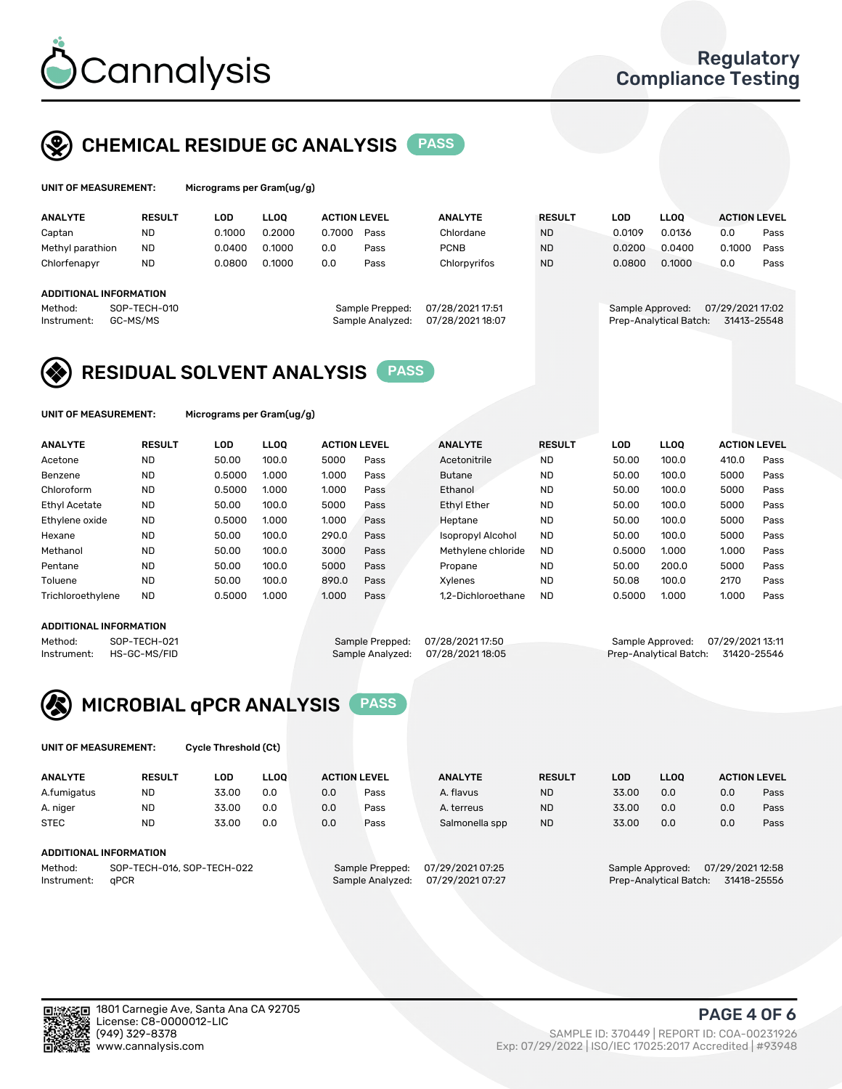

## CHEMICAL RESIDUE GC ANALYSIS PASS

| UNIT OF MEASUREMENT: | Microgran |
|----------------------|-----------|
|                      |           |

ns per Gram(ug/g)

| <b>ANALYTE</b>         | <b>RESULT</b> | LOD    | <b>LLOO</b> | <b>ACTION LEVEL</b> |                  | <b>ANALYTE</b>   | <b>RESULT</b> | LOD    | <b>LLOO</b>            | <b>ACTION LEVEL</b> |      |
|------------------------|---------------|--------|-------------|---------------------|------------------|------------------|---------------|--------|------------------------|---------------------|------|
| Captan                 | <b>ND</b>     | 0.1000 | 0.2000      | 0.7000              | Pass             | Chlordane        | <b>ND</b>     | 0.0109 | 0.0136                 | 0.0                 | Pass |
| Methyl parathion       | <b>ND</b>     | 0.0400 | 0.1000      | 0.0                 | Pass             | <b>PCNB</b>      | <b>ND</b>     | 0.0200 | 0.0400                 | 0.1000              | Pass |
| Chlorfenapyr           | <b>ND</b>     | 0.0800 | 0.1000      | 0.0                 | Pass             | Chlorpyrifos     | <b>ND</b>     | 0.0800 | 0.1000                 | 0.0                 | Pass |
|                        |               |        |             |                     |                  |                  |               |        |                        |                     |      |
| ADDITIONAL INFORMATION |               |        |             |                     |                  |                  |               |        |                        |                     |      |
| Method:                | SOP-TECH-010  |        |             |                     | Sample Prepped:  | 07/28/2021 17:51 |               |        | Sample Approved:       | 07/29/2021 17:02    |      |
| Instrument:            | GC-MS/MS      |        |             |                     | Sample Analyzed: | 07/28/202118:07  |               |        | Prep-Analytical Batch: | 31413-25548         |      |
|                        |               |        |             |                     |                  |                  |               |        |                        |                     |      |

## RESIDUAL SOLVENT ANALYSIS PASS

UNIT OF MEASUREMENT: Micrograms per Gram(ug/g)

| <b>ANALYTE</b>       | <b>RESULT</b> | LOD    | <b>LLOO</b> | <b>ACTION LEVEL</b> |      | <b>ANALYTE</b>           | <b>RESULT</b> | LOD    | LLOO  | <b>ACTION LEVEL</b> |      |
|----------------------|---------------|--------|-------------|---------------------|------|--------------------------|---------------|--------|-------|---------------------|------|
| Acetone              | <b>ND</b>     | 50.00  | 100.0       | 5000                | Pass | Acetonitrile             | <b>ND</b>     | 50.00  | 100.0 | 410.0               | Pass |
| Benzene              | <b>ND</b>     | 0.5000 | 1.000       | 1.000               | Pass | <b>Butane</b>            | <b>ND</b>     | 50.00  | 100.0 | 5000                | Pass |
| Chloroform           | <b>ND</b>     | 0.5000 | 1.000       | 1.000               | Pass | Ethanol                  | <b>ND</b>     | 50.00  | 100.0 | 5000                | Pass |
| <b>Ethyl Acetate</b> | <b>ND</b>     | 50.00  | 100.0       | 5000                | Pass | <b>Ethyl Ether</b>       | <b>ND</b>     | 50.00  | 100.0 | 5000                | Pass |
| Ethylene oxide       | <b>ND</b>     | 0.5000 | 1.000       | 1.000               | Pass | Heptane                  | <b>ND</b>     | 50.00  | 100.0 | 5000                | Pass |
| Hexane               | <b>ND</b>     | 50.00  | 100.0       | 290.0               | Pass | <b>Isopropyl Alcohol</b> | <b>ND</b>     | 50.00  | 100.0 | 5000                | Pass |
| Methanol             | <b>ND</b>     | 50.00  | 100.0       | 3000                | Pass | Methylene chloride       | <b>ND</b>     | 0.5000 | 1.000 | 1.000               | Pass |
| Pentane              | <b>ND</b>     | 50.00  | 100.0       | 5000                | Pass | Propane                  | <b>ND</b>     | 50.00  | 200.0 | 5000                | Pass |
| Toluene              | <b>ND</b>     | 50.00  | 100.0       | 890.0               | Pass | Xvlenes                  | <b>ND</b>     | 50.08  | 100.0 | 2170                | Pass |
| Trichloroethylene    | <b>ND</b>     | 0.5000 | 1.000       | 1.000               | Pass | 1.2-Dichloroethane       | <b>ND</b>     | 0.5000 | 1.000 | 1.000               | Pass |

#### ADDITIONAL INFORMATION

Method: SOP-TECH-021 Sample Prepped: 07/28/202117:50 Sample Approved: 07/29/202113:11<br>Instrument: HS-GC-MS/FID Sample Analyzed: 07/28/202118:05 Prep-Analytical Batch: 31420-25546 Prep-Analytical Batch: 31420-25546



UNIT OF MEASUREMENT: Cycle Threshold (Ct)

| <b>ANALYTE</b> | <b>RESULT</b>              | LOD   | <b>LLOO</b> |     | <b>ACTION LEVEL</b> | <b>ANALYTE</b>   | <b>RESULT</b> | LOD   | <b>LLOO</b>      |                  | <b>ACTION LEVEL</b> |
|----------------|----------------------------|-------|-------------|-----|---------------------|------------------|---------------|-------|------------------|------------------|---------------------|
| A.fumigatus    | <b>ND</b>                  | 33.00 | 0.0         | 0.0 | Pass                | A. flavus        | <b>ND</b>     | 33.00 | 0.0              | 0.0              | Pass                |
| A. niger       | <b>ND</b>                  | 33.00 | 0.0         | 0.0 | Pass                | A. terreus       | <b>ND</b>     | 33.00 | 0.0              | 0.0              | Pass                |
| <b>STEC</b>    | <b>ND</b>                  | 33.00 | 0.0         | 0.0 | Pass                | Salmonella spp   | <b>ND</b>     | 33.00 | 0.0              | 0.0              | Pass                |
|                | ADDITIONAL INFORMATION     |       |             |     |                     |                  |               |       |                  |                  |                     |
| Method:        | SOP-TECH-016, SOP-TECH-022 |       |             |     | Sample Prepped:     | 07/29/2021 07:25 |               |       | Sample Approved: | 07/29/2021 12:58 |                     |

Instrument: qPCR Sample Analyzed: 07/29/2021 07:27 Prep-Analytical Batch: 31418-25556

PAGE 4 OF 6

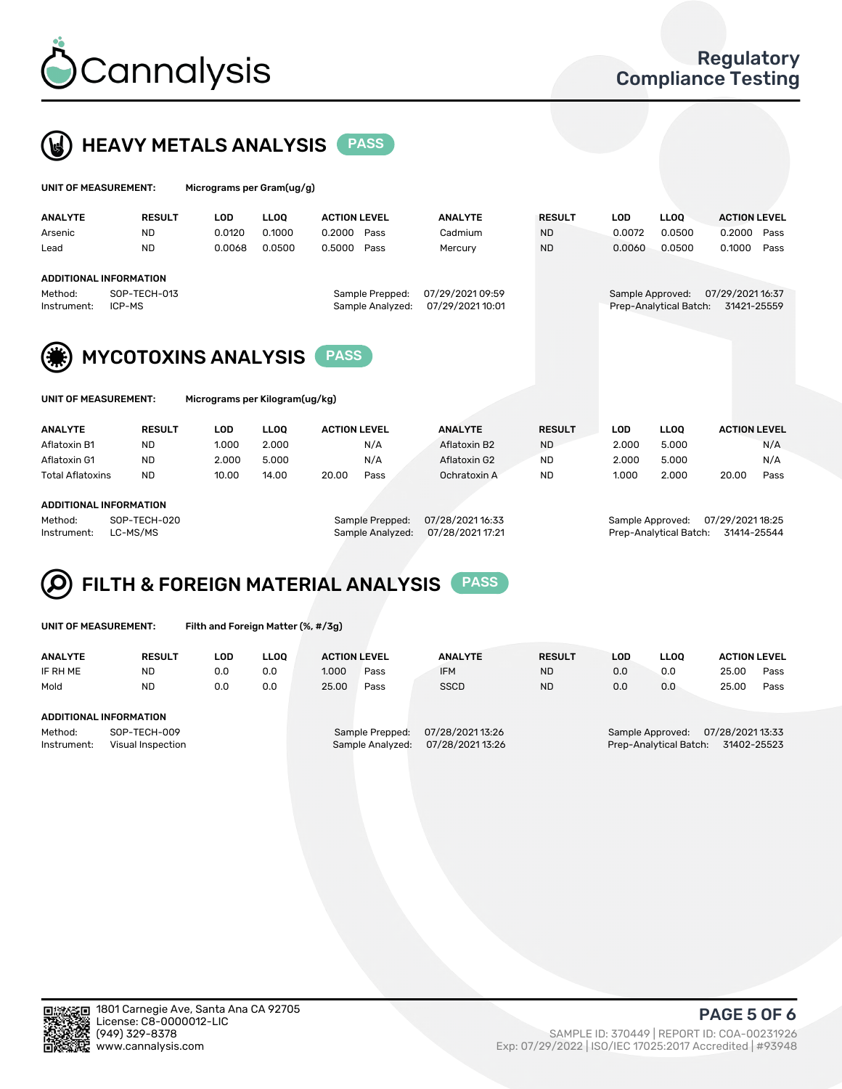



| UNIT OF MEASUREMENT: |                               | Micrograms per Gram(ug/g) |             |                     |                  |                  |               |                  |                        |                     |      |
|----------------------|-------------------------------|---------------------------|-------------|---------------------|------------------|------------------|---------------|------------------|------------------------|---------------------|------|
| <b>ANALYTE</b>       | <b>RESULT</b>                 | <b>LOD</b>                | <b>LLOO</b> | <b>ACTION LEVEL</b> |                  | <b>ANALYTE</b>   | <b>RESULT</b> | <b>LOD</b>       | <b>LLOO</b>            | <b>ACTION LEVEL</b> |      |
| Arsenic              | <b>ND</b>                     | 0.0120                    | 0.1000      | 0.2000              | Pass             | Cadmium          | <b>ND</b>     | 0.0072           | 0.0500                 | 0.2000              | Pass |
| Lead                 | <b>ND</b>                     | 0.0068                    | 0.0500      | 0.5000              | Pass             | Mercury          | <b>ND</b>     | 0.0060           | 0.0500                 | 0.1000              | Pass |
|                      | <b>ADDITIONAL INFORMATION</b> |                           |             |                     |                  |                  |               |                  |                        |                     |      |
| Method:              | SOP-TECH-013                  |                           |             |                     | Sample Prepped:  | 07/29/2021 09:59 |               | Sample Approved: |                        | 07/29/2021 16:37    |      |
| Instrument:          | ICP-MS                        |                           |             |                     | Sample Analyzed: | 07/29/2021 10:01 |               |                  | Prep-Analytical Batch: | 31421-25559         |      |
| (纂)                  | <b>MYCOTOXINS ANALYSIS</b>    |                           |             | <b>PASS</b>         |                  |                  |               |                  |                        |                     |      |

| UNIT OF MEASUREMENT: |
|----------------------|
|----------------------|

Micrograms per Kilogram(ug/kg)

| <b>ANALYTE</b>          | <b>RESULT</b> | LOD   | <b>LLOO</b> | <b>ACTION LEVEL</b> |      | <b>ANALYTE</b> | <b>RESULT</b> | LOD   | <b>LLOO</b> | <b>ACTION LEVEL</b> |      |
|-------------------------|---------------|-------|-------------|---------------------|------|----------------|---------------|-------|-------------|---------------------|------|
| Aflatoxin B1            | <b>ND</b>     | 1.000 | 2.000       |                     | N/A  | Aflatoxin B2   | <b>ND</b>     | 2.000 | 5.000       |                     | N/A  |
| Aflatoxin G1            | <b>ND</b>     | 2.000 | 5.000       |                     | N/A  | Aflatoxin G2   | <b>ND</b>     | 2.000 | 5.000       |                     | N/A  |
| <b>Total Aflatoxins</b> | <b>ND</b>     | 10.00 | 14.00       | 20.00               | Pass | Ochratoxin A   | <b>ND</b>     | 1.000 | 2.000       | 20.00               | Pass |
|                         |               |       |             |                     |      |                |               |       |             |                     |      |

#### ADDITIONAL INFORMATION

Method: SOP-TECH-020 Sample Prepped: 07/28/2021 16:33 Sample Approved: 07/29/2021 18:25 Instrument: LC-MS/MS Sample Analyzed: 07/28/2021 17:21 Prep-Analytical Batch: 31414-25544

# FILTH & FOREIGN MATERIAL ANALYSIS PASS

UNIT OF MEASUREMENT: Filth and Foreign Matter (%, #/3g)

| <b>ANALYTE</b>         | <b>RESULT</b>                     | LOD. | <b>LLOO</b> | <b>ACTION LEVEL</b> |                                     | <b>ANALYTE</b>                     | <b>RESULT</b> | LOD | <b>LLOO</b>                                | <b>ACTION LEVEL</b>             |      |
|------------------------|-----------------------------------|------|-------------|---------------------|-------------------------------------|------------------------------------|---------------|-----|--------------------------------------------|---------------------------------|------|
| IF RH ME               | <b>ND</b>                         | 0.0  | 0.0         | 1.000               | Pass                                | <b>IFM</b>                         | <b>ND</b>     | 0.0 | 0.0                                        | 25.00                           | Pass |
| Mold                   | <b>ND</b>                         | 0.0  | 0.0         | 25.00               | Pass                                | <b>SSCD</b>                        | <b>ND</b>     | 0.0 | 0.0                                        | 25.00                           | Pass |
| ADDITIONAL INFORMATION |                                   |      |             |                     |                                     |                                    |               |     |                                            |                                 |      |
| Method:<br>Instrument: | SOP-TECH-009<br>Visual Inspection |      |             |                     | Sample Prepped:<br>Sample Analyzed: | 07/28/202113:26<br>07/28/202113:26 |               |     | Sample Approved:<br>Prep-Analytical Batch: | 07/28/2021 13:33<br>31402-25523 |      |



PAGE 5 OF 6